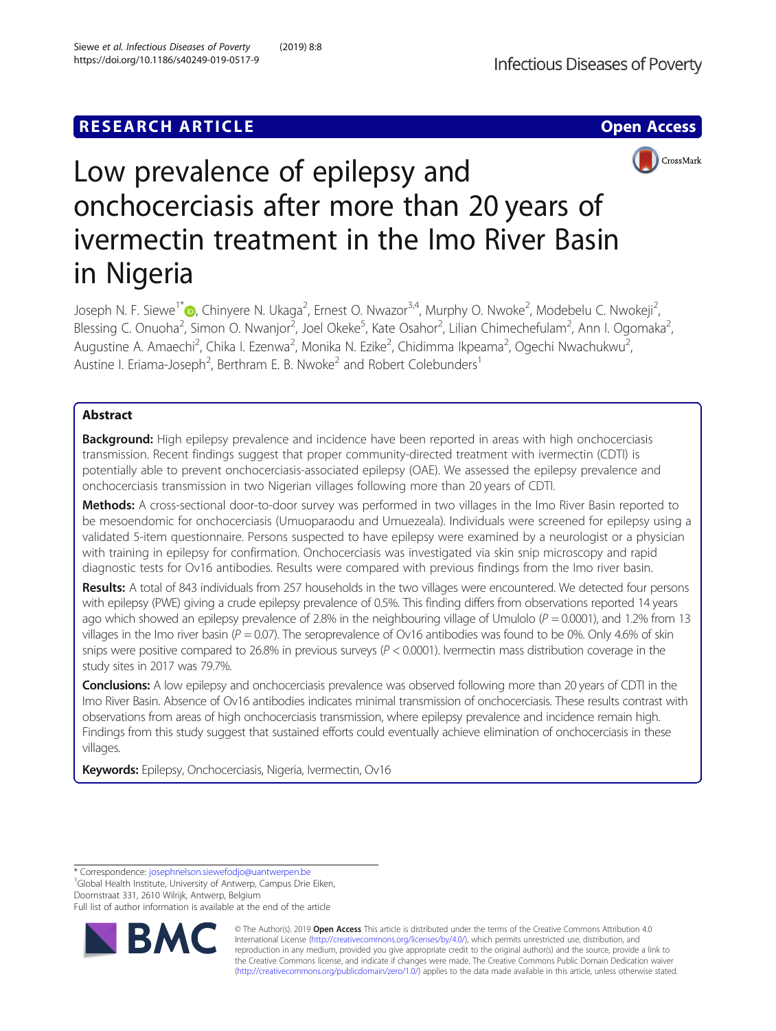# **RESEARCH ARTICLE Example 2014 12:30 The Contract of Contract ACCESS**





# Low prevalence of epilepsy and onchocerciasis after more than 20 years of ivermectin treatment in the Imo River Basin in Nigeria

Joseph N. F. Siewe<sup>1[\\*](http://orcid.org/0000-0003-3544-1239)</sup>�, Chinyere N. Ukaga<sup>2</sup>, Ernest O. Nwazor<sup>3,4</sup>, Murphy O. Nwoke<sup>2</sup>, Modebelu C. Nwokeji<sup>2</sup> , Blessing C. Onuoha<sup>2</sup>, Simon O. Nwanjor<sup>2</sup>, Joel Okeke<sup>5</sup>, Kate Osahor<sup>2</sup>, Lilian Chimechefulam<sup>2</sup>, Ann I. Ogomaka<sup>2</sup> .<br>, Augustine A. Amaechi<sup>2</sup>, Chika I. Ezenwa<sup>2</sup>, Monika N. Ezike<sup>2</sup>, Chidimma Ikpeama<sup>2</sup>, Ogechi Nwachukwu<sup>2</sup> , Austine I. Eriama-Joseph<sup>2</sup>, Berthram E. B. Nwoke<sup>2</sup> and Robert Colebunders<sup>1</sup>

# Abstract

Background: High epilepsy prevalence and incidence have been reported in areas with high onchocerciasis transmission. Recent findings suggest that proper community-directed treatment with ivermectin (CDTI) is potentially able to prevent onchocerciasis-associated epilepsy (OAE). We assessed the epilepsy prevalence and onchocerciasis transmission in two Nigerian villages following more than 20 years of CDTI.

Methods: A cross-sectional door-to-door survey was performed in two villages in the Imo River Basin reported to be mesoendomic for onchocerciasis (Umuoparaodu and Umuezeala). Individuals were screened for epilepsy using a validated 5-item questionnaire. Persons suspected to have epilepsy were examined by a neurologist or a physician with training in epilepsy for confirmation. Onchocerciasis was investigated via skin snip microscopy and rapid diagnostic tests for Ov16 antibodies. Results were compared with previous findings from the Imo river basin.

Results: A total of 843 individuals from 257 households in the two villages were encountered. We detected four persons with epilepsy (PWE) giving a crude epilepsy prevalence of 0.5%. This finding differs from observations reported 14 years ago which showed an epilepsy prevalence of 2.8% in the neighbouring village of Umulolo ( $P = 0.0001$ ), and 1.2% from 13 villages in the Imo river basin ( $P = 0.07$ ). The seroprevalence of Ov16 antibodies was found to be 0%. Only 4.6% of skin snips were positive compared to 26.8% in previous surveys  $(P < 0.0001)$ . Ivermectin mass distribution coverage in the study sites in 2017 was 79.7%.

**Conclusions:** A low epilepsy and onchocerciasis prevalence was observed following more than 20 years of CDTI in the Imo River Basin. Absence of Ov16 antibodies indicates minimal transmission of onchocerciasis. These results contrast with observations from areas of high onchocerciasis transmission, where epilepsy prevalence and incidence remain high. Findings from this study suggest that sustained efforts could eventually achieve elimination of onchocerciasis in these villages.

Keywords: Epilepsy, Onchocerciasis, Nigeria, Ivermectin, Ov16

\* Correspondence: [josephnelson.siewefodjo@uantwerpen.be](mailto:josephnelson.siewefodjo@uantwerpen.be) <sup>1</sup>

<sup>1</sup>Global Health Institute, University of Antwerp, Campus Drie Eiken, Doornstraat 331, 2610 Wilrijk, Antwerp, Belgium

Full list of author information is available at the end of the article



© The Author(s). 2019 **Open Access** This article is distributed under the terms of the Creative Commons Attribution 4.0 International License [\(http://creativecommons.org/licenses/by/4.0/](http://creativecommons.org/licenses/by/4.0/)), which permits unrestricted use, distribution, and reproduction in any medium, provided you give appropriate credit to the original author(s) and the source, provide a link to the Creative Commons license, and indicate if changes were made. The Creative Commons Public Domain Dedication waiver [\(http://creativecommons.org/publicdomain/zero/1.0/](http://creativecommons.org/publicdomain/zero/1.0/)) applies to the data made available in this article, unless otherwise stated.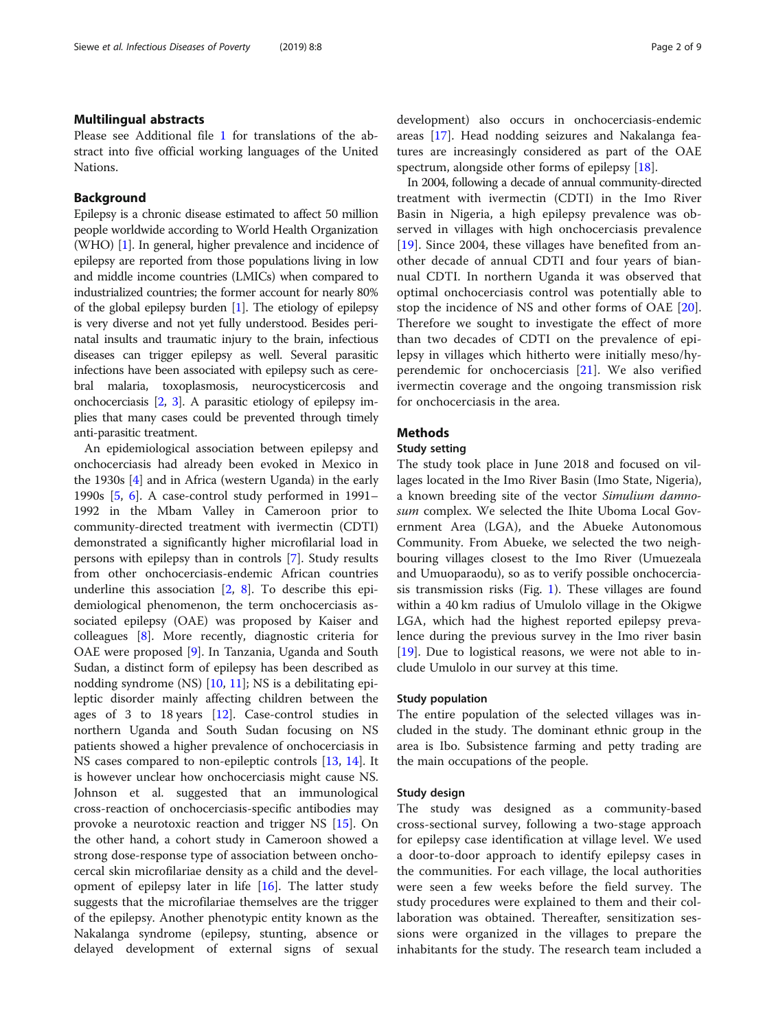# Multilingual abstracts

Please see Additional file [1](#page-7-0) for translations of the abstract into five official working languages of the United Nations.

# Background

Epilepsy is a chronic disease estimated to affect 50 million people worldwide according to World Health Organization (WHO) [[1](#page-8-0)]. In general, higher prevalence and incidence of epilepsy are reported from those populations living in low and middle income countries (LMICs) when compared to industrialized countries; the former account for nearly 80% of the global epilepsy burden [[1\]](#page-8-0). The etiology of epilepsy is very diverse and not yet fully understood. Besides perinatal insults and traumatic injury to the brain, infectious diseases can trigger epilepsy as well. Several parasitic infections have been associated with epilepsy such as cerebral malaria, toxoplasmosis, neurocysticercosis and onchocerciasis [\[2,](#page-8-0) [3\]](#page-8-0). A parasitic etiology of epilepsy implies that many cases could be prevented through timely anti-parasitic treatment.

An epidemiological association between epilepsy and onchocerciasis had already been evoked in Mexico in the 1930s [[4\]](#page-8-0) and in Africa (western Uganda) in the early 1990s [[5,](#page-8-0) [6\]](#page-8-0). A case-control study performed in 1991– 1992 in the Mbam Valley in Cameroon prior to community-directed treatment with ivermectin (CDTI) demonstrated a significantly higher microfilarial load in persons with epilepsy than in controls [\[7](#page-8-0)]. Study results from other onchocerciasis-endemic African countries underline this association  $[2, 8]$  $[2, 8]$  $[2, 8]$ . To describe this epidemiological phenomenon, the term onchocerciasis associated epilepsy (OAE) was proposed by Kaiser and colleagues [\[8](#page-8-0)]. More recently, diagnostic criteria for OAE were proposed [[9\]](#page-8-0). In Tanzania, Uganda and South Sudan, a distinct form of epilepsy has been described as nodding syndrome (NS) [\[10](#page-8-0), [11\]](#page-8-0); NS is a debilitating epileptic disorder mainly affecting children between the ages of 3 to 18 years [[12\]](#page-8-0). Case-control studies in northern Uganda and South Sudan focusing on NS patients showed a higher prevalence of onchocerciasis in NS cases compared to non-epileptic controls [\[13,](#page-8-0) [14](#page-8-0)]. It is however unclear how onchocerciasis might cause NS. Johnson et al. suggested that an immunological cross-reaction of onchocerciasis-specific antibodies may provoke a neurotoxic reaction and trigger NS [\[15\]](#page-8-0). On the other hand, a cohort study in Cameroon showed a strong dose-response type of association between onchocercal skin microfilariae density as a child and the development of epilepsy later in life [[16\]](#page-8-0). The latter study suggests that the microfilariae themselves are the trigger of the epilepsy. Another phenotypic entity known as the Nakalanga syndrome (epilepsy, stunting, absence or delayed development of external signs of sexual development) also occurs in onchocerciasis-endemic areas [[17](#page-8-0)]. Head nodding seizures and Nakalanga features are increasingly considered as part of the OAE spectrum, alongside other forms of epilepsy [[18\]](#page-8-0).

In 2004, following a decade of annual community-directed treatment with ivermectin (CDTI) in the Imo River Basin in Nigeria, a high epilepsy prevalence was observed in villages with high onchocerciasis prevalence [[19](#page-8-0)]. Since 2004, these villages have benefited from another decade of annual CDTI and four years of biannual CDTI. In northern Uganda it was observed that optimal onchocerciasis control was potentially able to stop the incidence of NS and other forms of OAE [\[20](#page-8-0)]. Therefore we sought to investigate the effect of more than two decades of CDTI on the prevalence of epilepsy in villages which hitherto were initially meso/hyperendemic for onchocerciasis [\[21](#page-8-0)]. We also verified ivermectin coverage and the ongoing transmission risk for onchocerciasis in the area.

# **Methods**

# Study setting

The study took place in June 2018 and focused on villages located in the Imo River Basin (Imo State, Nigeria), a known breeding site of the vector Simulium damnosum complex. We selected the Ihite Uboma Local Government Area (LGA), and the Abueke Autonomous Community. From Abueke, we selected the two neighbouring villages closest to the Imo River (Umuezeala and Umuoparaodu), so as to verify possible onchocerciasis transmission risks (Fig. [1\)](#page-2-0). These villages are found within a 40 km radius of Umulolo village in the Okigwe LGA, which had the highest reported epilepsy prevalence during the previous survey in the Imo river basin [[19\]](#page-8-0). Due to logistical reasons, we were not able to include Umulolo in our survey at this time.

#### Study population

The entire population of the selected villages was included in the study. The dominant ethnic group in the area is Ibo. Subsistence farming and petty trading are the main occupations of the people.

#### Study design

The study was designed as a community-based cross-sectional survey, following a two-stage approach for epilepsy case identification at village level. We used a door-to-door approach to identify epilepsy cases in the communities. For each village, the local authorities were seen a few weeks before the field survey. The study procedures were explained to them and their collaboration was obtained. Thereafter, sensitization sessions were organized in the villages to prepare the inhabitants for the study. The research team included a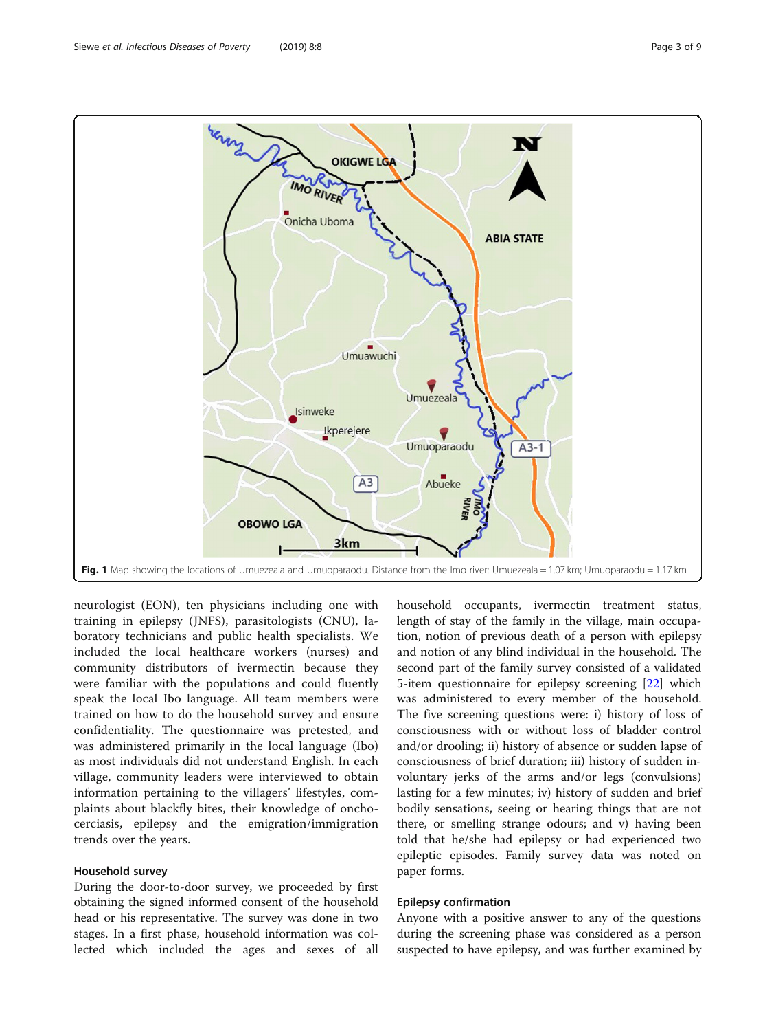<span id="page-2-0"></span>

neurologist (EON), ten physicians including one with training in epilepsy (JNFS), parasitologists (CNU), laboratory technicians and public health specialists. We included the local healthcare workers (nurses) and community distributors of ivermectin because they were familiar with the populations and could fluently speak the local Ibo language. All team members were trained on how to do the household survey and ensure confidentiality. The questionnaire was pretested, and was administered primarily in the local language (Ibo) as most individuals did not understand English. In each village, community leaders were interviewed to obtain information pertaining to the villagers' lifestyles, complaints about blackfly bites, their knowledge of onchocerciasis, epilepsy and the emigration/immigration trends over the years.

#### Household survey

During the door-to-door survey, we proceeded by first obtaining the signed informed consent of the household head or his representative. The survey was done in two stages. In a first phase, household information was collected which included the ages and sexes of all

household occupants, ivermectin treatment status, length of stay of the family in the village, main occupation, notion of previous death of a person with epilepsy and notion of any blind individual in the household. The second part of the family survey consisted of a validated 5-item questionnaire for epilepsy screening [\[22](#page-8-0)] which was administered to every member of the household. The five screening questions were: i) history of loss of consciousness with or without loss of bladder control and/or drooling; ii) history of absence or sudden lapse of consciousness of brief duration; iii) history of sudden involuntary jerks of the arms and/or legs (convulsions) lasting for a few minutes; iv) history of sudden and brief bodily sensations, seeing or hearing things that are not there, or smelling strange odours; and v) having been told that he/she had epilepsy or had experienced two epileptic episodes. Family survey data was noted on paper forms.

#### Epilepsy confirmation

Anyone with a positive answer to any of the questions during the screening phase was considered as a person suspected to have epilepsy, and was further examined by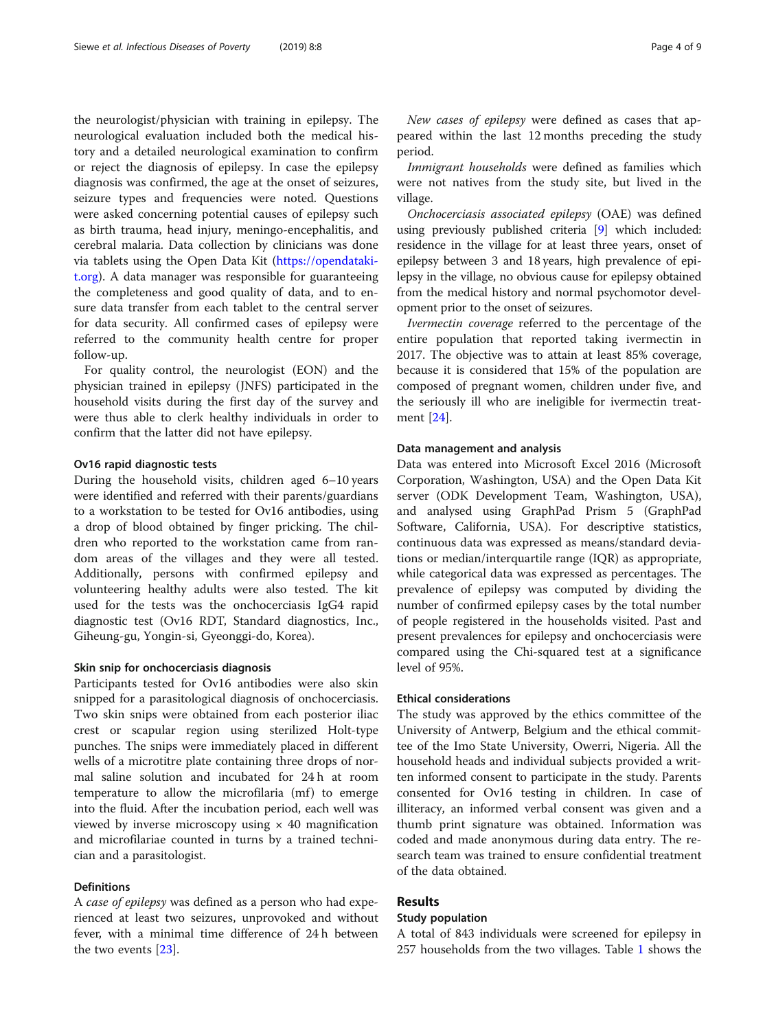the neurologist/physician with training in epilepsy. The neurological evaluation included both the medical history and a detailed neurological examination to confirm or reject the diagnosis of epilepsy. In case the epilepsy diagnosis was confirmed, the age at the onset of seizures, seizure types and frequencies were noted. Questions were asked concerning potential causes of epilepsy such as birth trauma, head injury, meningo-encephalitis, and cerebral malaria. Data collection by clinicians was done via tablets using the Open Data Kit [\(https://opendataki](https://opendatakit.org)[t.org\)](https://opendatakit.org). A data manager was responsible for guaranteeing the completeness and good quality of data, and to ensure data transfer from each tablet to the central server for data security. All confirmed cases of epilepsy were referred to the community health centre for proper follow-up.

For quality control, the neurologist (EON) and the physician trained in epilepsy (JNFS) participated in the household visits during the first day of the survey and were thus able to clerk healthy individuals in order to confirm that the latter did not have epilepsy.

#### Ov16 rapid diagnostic tests

During the household visits, children aged 6–10 years were identified and referred with their parents/guardians to a workstation to be tested for Ov16 antibodies, using a drop of blood obtained by finger pricking. The children who reported to the workstation came from random areas of the villages and they were all tested. Additionally, persons with confirmed epilepsy and volunteering healthy adults were also tested. The kit used for the tests was the onchocerciasis IgG4 rapid diagnostic test (Ov16 RDT, Standard diagnostics, Inc., Giheung-gu, Yongin-si, Gyeonggi-do, Korea).

# Skin snip for onchocerciasis diagnosis

Participants tested for Ov16 antibodies were also skin snipped for a parasitological diagnosis of onchocerciasis. Two skin snips were obtained from each posterior iliac crest or scapular region using sterilized Holt-type punches. The snips were immediately placed in different wells of a microtitre plate containing three drops of normal saline solution and incubated for 24 h at room temperature to allow the microfilaria (mf) to emerge into the fluid. After the incubation period, each well was viewed by inverse microscopy using  $\times$  40 magnification and microfilariae counted in turns by a trained technician and a parasitologist.

# **Definitions**

A case of epilepsy was defined as a person who had experienced at least two seizures, unprovoked and without fever, with a minimal time difference of 24 h between the two events [[23](#page-8-0)].

New cases of epilepsy were defined as cases that appeared within the last 12 months preceding the study period.

Immigrant households were defined as families which were not natives from the study site, but lived in the village.

Onchocerciasis associated epilepsy (OAE) was defined using previously published criteria [\[9\]](#page-8-0) which included: residence in the village for at least three years, onset of epilepsy between 3 and 18 years, high prevalence of epilepsy in the village, no obvious cause for epilepsy obtained from the medical history and normal psychomotor development prior to the onset of seizures.

Ivermectin coverage referred to the percentage of the entire population that reported taking ivermectin in 2017. The objective was to attain at least 85% coverage, because it is considered that 15% of the population are composed of pregnant women, children under five, and the seriously ill who are ineligible for ivermectin treatment [[24\]](#page-8-0).

#### Data management and analysis

Data was entered into Microsoft Excel 2016 (Microsoft Corporation, Washington, USA) and the Open Data Kit server (ODK Development Team, Washington, USA), and analysed using GraphPad Prism 5 (GraphPad Software, California, USA). For descriptive statistics, continuous data was expressed as means/standard deviations or median/interquartile range (IQR) as appropriate, while categorical data was expressed as percentages. The prevalence of epilepsy was computed by dividing the number of confirmed epilepsy cases by the total number of people registered in the households visited. Past and present prevalences for epilepsy and onchocerciasis were compared using the Chi-squared test at a significance level of 95%.

# Ethical considerations

The study was approved by the ethics committee of the University of Antwerp, Belgium and the ethical committee of the Imo State University, Owerri, Nigeria. All the household heads and individual subjects provided a written informed consent to participate in the study. Parents consented for Ov16 testing in children. In case of illiteracy, an informed verbal consent was given and a thumb print signature was obtained. Information was coded and made anonymous during data entry. The research team was trained to ensure confidential treatment of the data obtained.

# Results

# Study population

A total of 843 individuals were screened for epilepsy in 257 households from the two villages. Table [1](#page-4-0) shows the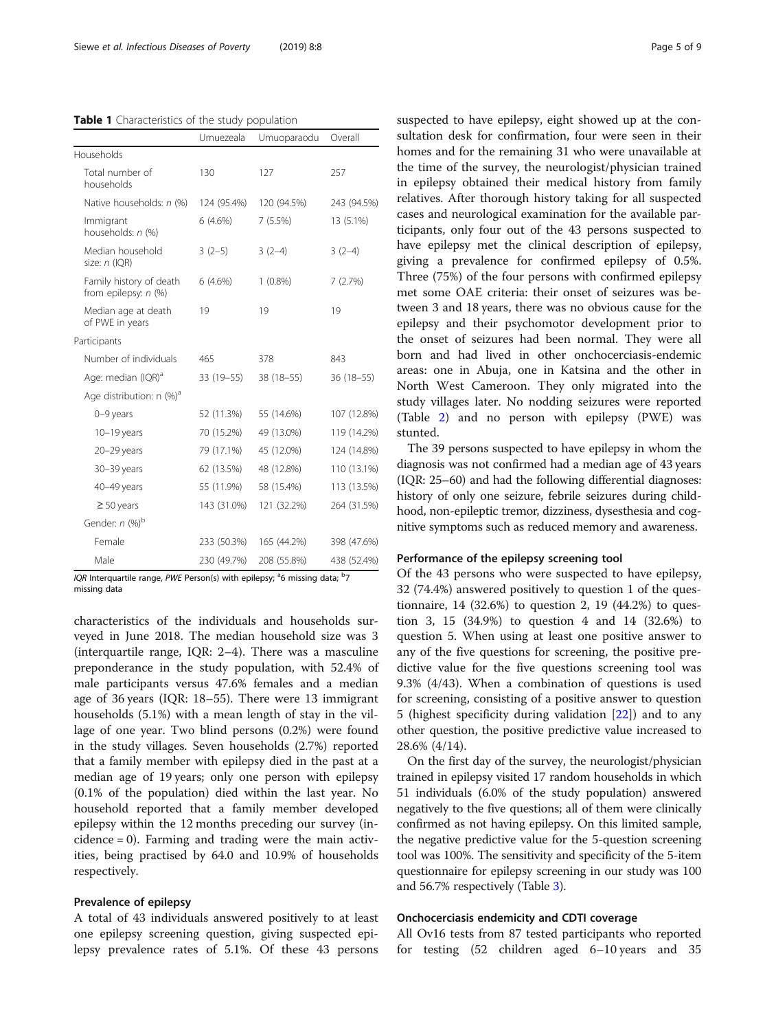<span id="page-4-0"></span>Table 1 Characteristics of the study population

| Umuezeala    | Umuoparaodu   | Overall                                                                                                           |
|--------------|---------------|-------------------------------------------------------------------------------------------------------------------|
|              |               |                                                                                                                   |
| 130          | 127           | 257                                                                                                               |
| 124 (95.4%)  | 120 (94.5%)   | 243 (94.5%)                                                                                                       |
| $6(4.6\%)$   | 7(5.5%)       | 13 (5.1%)                                                                                                         |
| $3(2-5)$     | $3(2-4)$      | $3(2-4)$                                                                                                          |
| 6(4.6%)      | $1(0.8\%)$    | 7(2.7%)                                                                                                           |
| 19           | 19            | 19                                                                                                                |
|              |               |                                                                                                                   |
| 465          | 378           | 843                                                                                                               |
| 33 (19 - 55) | $38(18 - 55)$ | 36 (18 - 55)                                                                                                      |
|              |               |                                                                                                                   |
| 52 (11.3%)   | 55 (14.6%)    | 107 (12.8%)                                                                                                       |
| 70 (15.2%)   | 49 (13.0%)    | 119 (14.2%)                                                                                                       |
| 79 (17.1%)   | 45 (12.0%)    | 124 (14.8%)                                                                                                       |
| 62 (13.5%)   | 48 (12.8%)    | 110 (13.1%)                                                                                                       |
| 55 (11.9%)   | 58 (15.4%)    | 113 (13.5%)                                                                                                       |
| 143 (31.0%)  | 121 (32.2%)   | 264 (31.5%)                                                                                                       |
|              |               |                                                                                                                   |
| 233 (50.3%)  | 165 (44.2%)   | 398 (47.6%)                                                                                                       |
| 230 (49.7%)  | 208 (55.8%)   | 438 (52.4%)                                                                                                       |
|              |               | $\sim$ ( $\Lambda$ ) and the contribution of $\Lambda$ and $\Lambda$ and $\Lambda$ and $\Lambda$<br>$-1$ and $-1$ |

IQR Interquartile range, PWE Person(s) with epilepsy; <sup>a</sup>6 missing data; <sup>b</sup>7 missing data

characteristics of the individuals and households surveyed in June 2018. The median household size was 3 (interquartile range, IQR: 2–4). There was a masculine preponderance in the study population, with 52.4% of male participants versus 47.6% females and a median age of 36 years (IQR: 18–55). There were 13 immigrant households (5.1%) with a mean length of stay in the village of one year. Two blind persons (0.2%) were found in the study villages. Seven households (2.7%) reported that a family member with epilepsy died in the past at a median age of 19 years; only one person with epilepsy (0.1% of the population) died within the last year. No household reported that a family member developed epilepsy within the 12 months preceding our survey (incidence = 0). Farming and trading were the main activities, being practised by 64.0 and 10.9% of households respectively.

#### Prevalence of epilepsy

A total of 43 individuals answered positively to at least one epilepsy screening question, giving suspected epilepsy prevalence rates of 5.1%. Of these 43 persons suspected to have epilepsy, eight showed up at the consultation desk for confirmation, four were seen in their homes and for the remaining 31 who were unavailable at the time of the survey, the neurologist/physician trained in epilepsy obtained their medical history from family relatives. After thorough history taking for all suspected cases and neurological examination for the available participants, only four out of the 43 persons suspected to have epilepsy met the clinical description of epilepsy, giving a prevalence for confirmed epilepsy of 0.5%. Three (75%) of the four persons with confirmed epilepsy met some OAE criteria: their onset of seizures was between 3 and 18 years, there was no obvious cause for the epilepsy and their psychomotor development prior to the onset of seizures had been normal. They were all born and had lived in other onchocerciasis-endemic areas: one in Abuja, one in Katsina and the other in North West Cameroon. They only migrated into the study villages later. No nodding seizures were reported (Table [2\)](#page-5-0) and no person with epilepsy (PWE) was stunted.

The 39 persons suspected to have epilepsy in whom the diagnosis was not confirmed had a median age of 43 years (IQR: 25–60) and had the following differential diagnoses: history of only one seizure, febrile seizures during childhood, non-epileptic tremor, dizziness, dysesthesia and cognitive symptoms such as reduced memory and awareness.

#### Performance of the epilepsy screening tool

Of the 43 persons who were suspected to have epilepsy, 32 (74.4%) answered positively to question 1 of the questionnaire, 14 (32.6%) to question 2, 19 (44.2%) to question 3, 15 (34.9%) to question 4 and 14 (32.6%) to question 5. When using at least one positive answer to any of the five questions for screening, the positive predictive value for the five questions screening tool was 9.3% (4/43). When a combination of questions is used for screening, consisting of a positive answer to question 5 (highest specificity during validation [[22\]](#page-8-0)) and to any other question, the positive predictive value increased to 28.6% (4/14).

On the first day of the survey, the neurologist/physician trained in epilepsy visited 17 random households in which 51 individuals (6.0% of the study population) answered negatively to the five questions; all of them were clinically confirmed as not having epilepsy. On this limited sample, the negative predictive value for the 5-question screening tool was 100%. The sensitivity and specificity of the 5-item questionnaire for epilepsy screening in our study was 100 and 56.7% respectively (Table [3](#page-5-0)).

#### Onchocerciasis endemicity and CDTI coverage

All Ov16 tests from 87 tested participants who reported for testing (52 children aged 6–10 years and 35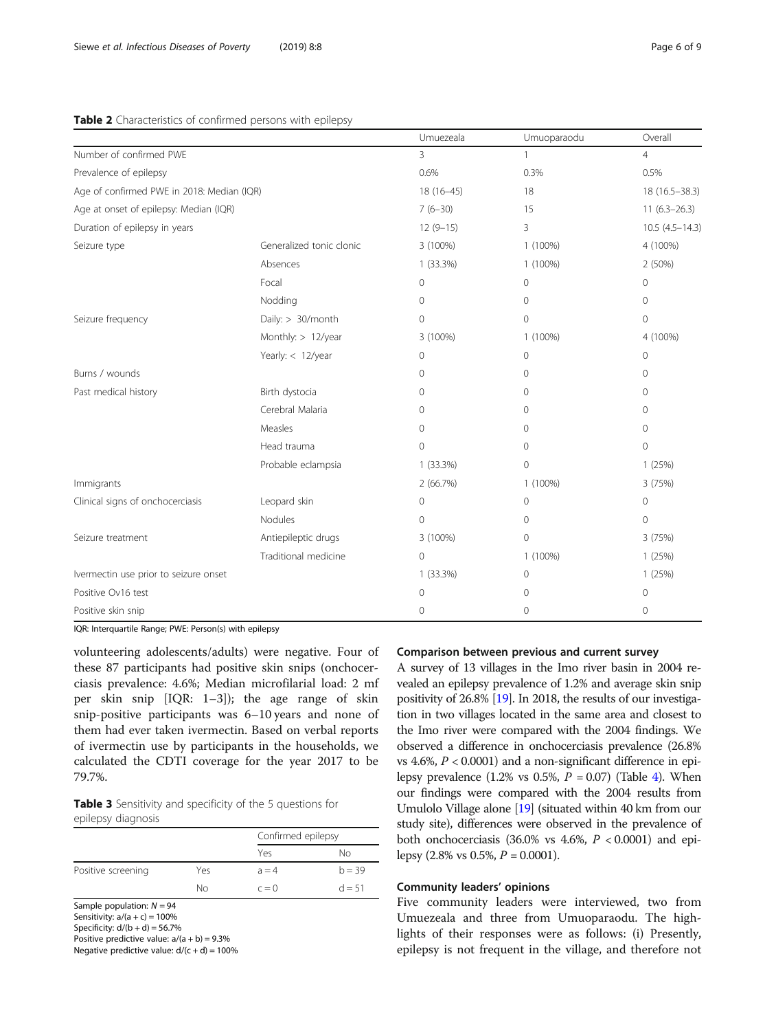<span id="page-5-0"></span>

|                                            |                          | Umuezeala   | Umuoparaodu    | Overall             |
|--------------------------------------------|--------------------------|-------------|----------------|---------------------|
| Number of confirmed PWE                    |                          | 3           | $\mathbf{1}$   | $\overline{4}$      |
| Prevalence of epilepsy                     |                          | 0.6%        | 0.3%           | 0.5%                |
| Age of confirmed PWE in 2018: Median (IQR) |                          | $18(16-45)$ | 18             | 18 (16.5-38.3)      |
| Age at onset of epilepsy: Median (IQR)     |                          | $7(6-30)$   | 15             | $11(6.3-26.3)$      |
| Duration of epilepsy in years              |                          | $12(9-15)$  | 3              | $10.5(4.5-14.3)$    |
| Seizure type                               | Generalized tonic clonic | 3 (100%)    | 1 (100%)       | 4 (100%)            |
|                                            | Absences                 | $1(33.3\%)$ | 1 (100%)       | 2 (50%)             |
|                                            | Focal                    | 0           | $\mathbf{0}$   | $\circ$             |
|                                            | Nodding                  | $\Omega$    | $\mathbf{0}$   | $\circ$             |
| Seizure frequency                          | Daily: > 30/month        | 0           | $\overline{0}$ | $\circ$             |
|                                            | Monthly: > 12/year       | 3 (100%)    | 1 (100%)       | 4 (100%)            |
|                                            | Yearly: < 12/year        | $\Omega$    | $\Omega$       | $\mathbf{0}$        |
| Burns / wounds                             |                          | $\Omega$    | $\Omega$       | 0                   |
| Past medical history                       | Birth dystocia           | $\Omega$    | $\mathbf{0}$   | 0                   |
|                                            | Cerebral Malaria         | $\Omega$    | $\Omega$       | $\Omega$            |
|                                            | Measles                  | $\Omega$    | $\Omega$       | $\circ$             |
|                                            | Head trauma              | $\Omega$    | $\Omega$       | $\circ$             |
|                                            | Probable eclampsia       | $1(33.3\%)$ | $\mathbf{0}$   | 1(25%)              |
| Immigrants                                 |                          | 2 (66.7%)   | 1 (100%)       | 3 (75%)             |
| Clinical signs of onchocerciasis           | Leopard skin             | 0           | $\mathbf{0}$   | $\mathsf{O}\xspace$ |
|                                            | <b>Nodules</b>           | $\Omega$    | $\mathbf{0}$   | $\circ$             |
| Seizure treatment                          | Antiepileptic drugs      | 3 (100%)    | $\circ$        | 3 (75%)             |
|                                            | Traditional medicine     | $\Omega$    | 1 (100%)       | 1(25%)              |
| Ivermectin use prior to seizure onset      |                          | 1 (33.3%)   | $\mathbf{0}$   | 1(25%)              |
| Positive Ov16 test                         |                          | 0           | $\mathbf{0}$   | $\mathbf 0$         |
| Positive skin snip                         |                          | 0           | 0              | 0                   |

IQR: Interquartile Range; PWE: Person(s) with epilepsy

volunteering adolescents/adults) were negative. Four of these 87 participants had positive skin snips (onchocerciasis prevalence: 4.6%; Median microfilarial load: 2 mf per skin snip [IQR: 1–3]); the age range of skin snip-positive participants was 6–10 years and none of them had ever taken ivermectin. Based on verbal reports of ivermectin use by participants in the households, we calculated the CDTI coverage for the year 2017 to be 79.7%.

| Table 3 Sensitivity and specificity of the 5 questions for |  |  |  |
|------------------------------------------------------------|--|--|--|
| epilepsy diagnosis                                         |  |  |  |

|                                                                                                     |     | Confirmed epilepsy |          |
|-----------------------------------------------------------------------------------------------------|-----|--------------------|----------|
|                                                                                                     |     | Yes                | Nο       |
| Positive screening                                                                                  | Yes | $a = 4$            | $b = 39$ |
|                                                                                                     | Nο  | $c=0$              | $d = 51$ |
| Sample population: $N = 94$<br>Sensitivity: $a/(a + c) = 100\%$<br>Specificity: $d/(b + d) = 56.7%$ |     |                    |          |

Positive predictive value:  $a/(a + b) = 9.3\%$ 

Negative predictive value:  $d/(c + d) = 100\%$ 

#### Comparison between previous and current survey

A survey of 13 villages in the Imo river basin in 2004 revealed an epilepsy prevalence of 1.2% and average skin snip positivity of 26.8% [\[19](#page-8-0)]. In 2018, the results of our investigation in two villages located in the same area and closest to the Imo river were compared with the 2004 findings. We observed a difference in onchocerciasis prevalence (26.8% vs 4.6%, P < 0.0001) and a non-significant difference in epilepsy prevalence (1.2% vs 0.5%,  $P = 0.07$ ) (Table [4](#page-6-0)). When our findings were compared with the 2004 results from Umulolo Village alone [\[19](#page-8-0)] (situated within 40 km from our study site), differences were observed in the prevalence of both onchocerciasis (36.0% vs 4.6%,  $P < 0.0001$ ) and epilepsy  $(2.8\% \text{ vs } 0.5\%, P = 0.0001).$ 

# Community leaders' opinions

Five community leaders were interviewed, two from Umuezeala and three from Umuoparaodu. The highlights of their responses were as follows: (i) Presently, epilepsy is not frequent in the village, and therefore not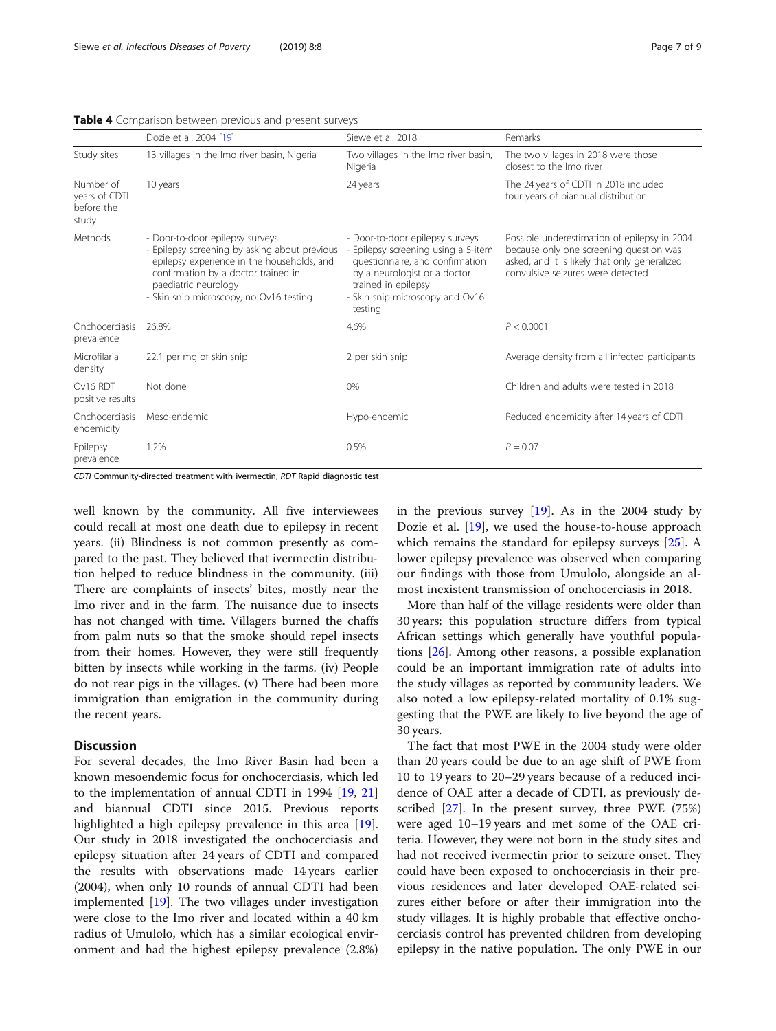|                            | Dozie et al. 2004 [19]                      | Siewe et al. 2018                               | <b>Remarks</b>                                                              |
|----------------------------|---------------------------------------------|-------------------------------------------------|-----------------------------------------------------------------------------|
| Study sites                | 13 villages in the Imo river basin, Nigeria | Two villages in the Imo river basin,<br>Nigeria | The two villages in 2018 were those<br>closest to the Imo river             |
| Number of<br>years of CDTI | 10 vears                                    | 24 years                                        | The 24 years of CDTI in 2018 include<br>four years of biannual distribution |

<span id="page-6-0"></span>

| <b>Table 4</b> Comparison between previous and present surveys |  |  |  |
|----------------------------------------------------------------|--|--|--|
|----------------------------------------------------------------|--|--|--|

| Number of<br>years of CDTI<br>before the<br>study | 10 years                                                                                                                                                                                                                                 | 24 years                                                                                                                                                                                                       | The 24 years of CDTI in 2018 included<br>four years of biannual distribution                                                                                                  |
|---------------------------------------------------|------------------------------------------------------------------------------------------------------------------------------------------------------------------------------------------------------------------------------------------|----------------------------------------------------------------------------------------------------------------------------------------------------------------------------------------------------------------|-------------------------------------------------------------------------------------------------------------------------------------------------------------------------------|
| Methods                                           | - Door-to-door epilepsy surveys<br>- Epilepsy screening by asking about previous<br>epilepsy experience in the households, and<br>confirmation by a doctor trained in<br>paediatric neurology<br>- Skin snip microscopy, no Ov16 testing | - Door-to-door epilepsy surveys<br>- Epilepsy screening using a 5-item<br>questionnaire, and confirmation<br>by a neurologist or a doctor<br>trained in epilepsy<br>- Skin snip microscopy and Ov16<br>testing | Possible underestimation of epilepsy in 2004<br>because only one screening question was<br>asked, and it is likely that only generalized<br>convulsive seizures were detected |
| Onchocerciasis<br>prevalence                      | 26.8%                                                                                                                                                                                                                                    | 4.6%                                                                                                                                                                                                           | P < 0.0001                                                                                                                                                                    |
| Microfilaria<br>density                           | 22.1 per mg of skin snip                                                                                                                                                                                                                 | 2 per skin snip                                                                                                                                                                                                | Average density from all infected participants                                                                                                                                |
| Ov16 RDT<br>positive results                      | Not done                                                                                                                                                                                                                                 | 0%                                                                                                                                                                                                             | Children and adults were tested in 2018                                                                                                                                       |
| Onchocerciasis<br>endemicity                      | Meso-endemic                                                                                                                                                                                                                             | Hypo-endemic                                                                                                                                                                                                   | Reduced endemicity after 14 years of CDTI                                                                                                                                     |
| Epilepsy<br>prevalence                            | 1.2%                                                                                                                                                                                                                                     | 0.5%                                                                                                                                                                                                           | $P = 0.07$                                                                                                                                                                    |

CDTI Community-directed treatment with ivermectin, RDT Rapid diagnostic test

well known by the community. All five interviewees could recall at most one death due to epilepsy in recent years. (ii) Blindness is not common presently as compared to the past. They believed that ivermectin distribution helped to reduce blindness in the community. (iii) There are complaints of insects' bites, mostly near the Imo river and in the farm. The nuisance due to insects has not changed with time. Villagers burned the chaffs from palm nuts so that the smoke should repel insects from their homes. However, they were still frequently bitten by insects while working in the farms. (iv) People do not rear pigs in the villages. (v) There had been more immigration than emigration in the community during the recent years.

# **Discussion**

For several decades, the Imo River Basin had been a known mesoendemic focus for onchocerciasis, which led to the implementation of annual CDTI in 1994 [[19,](#page-8-0) [21](#page-8-0)] and biannual CDTI since 2015. Previous reports highlighted a high epilepsy prevalence in this area [\[19](#page-8-0)]. Our study in 2018 investigated the onchocerciasis and epilepsy situation after 24 years of CDTI and compared the results with observations made 14 years earlier (2004), when only 10 rounds of annual CDTI had been implemented [[19\]](#page-8-0). The two villages under investigation were close to the Imo river and located within a 40 km radius of Umulolo, which has a similar ecological environment and had the highest epilepsy prevalence (2.8%)

in the previous survey [\[19\]](#page-8-0). As in the 2004 study by Dozie et al. [[19\]](#page-8-0), we used the house-to-house approach which remains the standard for epilepsy surveys [[25\]](#page-8-0). A lower epilepsy prevalence was observed when comparing our findings with those from Umulolo, alongside an almost inexistent transmission of onchocerciasis in 2018.

More than half of the village residents were older than 30 years; this population structure differs from typical African settings which generally have youthful populations [[26](#page-8-0)]. Among other reasons, a possible explanation could be an important immigration rate of adults into the study villages as reported by community leaders. We also noted a low epilepsy-related mortality of 0.1% suggesting that the PWE are likely to live beyond the age of 30 years.

The fact that most PWE in the 2004 study were older than 20 years could be due to an age shift of PWE from 10 to 19 years to 20–29 years because of a reduced incidence of OAE after a decade of CDTI, as previously described [\[27](#page-8-0)]. In the present survey, three PWE (75%) were aged 10–19 years and met some of the OAE criteria. However, they were not born in the study sites and had not received ivermectin prior to seizure onset. They could have been exposed to onchocerciasis in their previous residences and later developed OAE-related seizures either before or after their immigration into the study villages. It is highly probable that effective onchocerciasis control has prevented children from developing epilepsy in the native population. The only PWE in our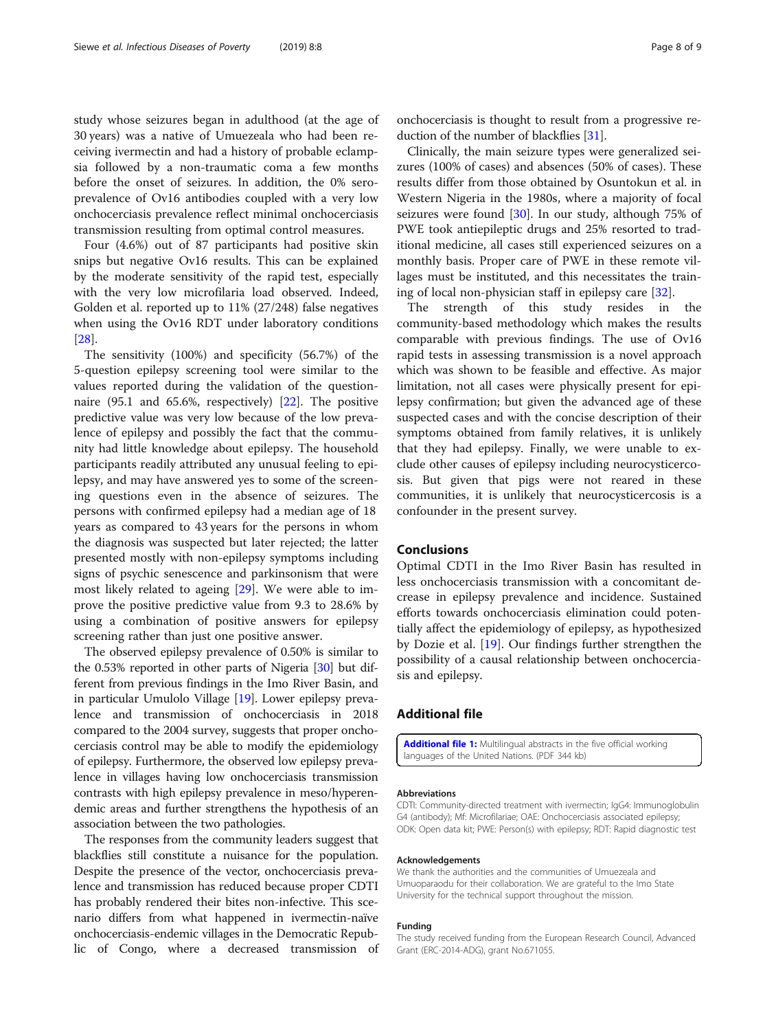<span id="page-7-0"></span>study whose seizures began in adulthood (at the age of 30 years) was a native of Umuezeala who had been receiving ivermectin and had a history of probable eclampsia followed by a non-traumatic coma a few months before the onset of seizures. In addition, the 0% seroprevalence of Ov16 antibodies coupled with a very low onchocerciasis prevalence reflect minimal onchocerciasis transmission resulting from optimal control measures.

Four (4.6%) out of 87 participants had positive skin snips but negative Ov16 results. This can be explained by the moderate sensitivity of the rapid test, especially with the very low microfilaria load observed. Indeed, Golden et al. reported up to 11% (27/248) false negatives when using the Ov16 RDT under laboratory conditions [[28\]](#page-8-0).

The sensitivity (100%) and specificity (56.7%) of the 5-question epilepsy screening tool were similar to the values reported during the validation of the questionnaire (95.1 and 65.6%, respectively) [[22\]](#page-8-0). The positive predictive value was very low because of the low prevalence of epilepsy and possibly the fact that the community had little knowledge about epilepsy. The household participants readily attributed any unusual feeling to epilepsy, and may have answered yes to some of the screening questions even in the absence of seizures. The persons with confirmed epilepsy had a median age of 18 years as compared to 43 years for the persons in whom the diagnosis was suspected but later rejected; the latter presented mostly with non-epilepsy symptoms including signs of psychic senescence and parkinsonism that were most likely related to ageing [\[29](#page-8-0)]. We were able to improve the positive predictive value from 9.3 to 28.6% by using a combination of positive answers for epilepsy screening rather than just one positive answer.

The observed epilepsy prevalence of 0.50% is similar to the 0.53% reported in other parts of Nigeria [[30](#page-8-0)] but different from previous findings in the Imo River Basin, and in particular Umulolo Village [[19](#page-8-0)]. Lower epilepsy prevalence and transmission of onchocerciasis in 2018 compared to the 2004 survey, suggests that proper onchocerciasis control may be able to modify the epidemiology of epilepsy. Furthermore, the observed low epilepsy prevalence in villages having low onchocerciasis transmission contrasts with high epilepsy prevalence in meso/hyperendemic areas and further strengthens the hypothesis of an association between the two pathologies.

The responses from the community leaders suggest that blackflies still constitute a nuisance for the population. Despite the presence of the vector, onchocerciasis prevalence and transmission has reduced because proper CDTI has probably rendered their bites non-infective. This scenario differs from what happened in ivermectin-naïve onchocerciasis-endemic villages in the Democratic Republic of Congo, where a decreased transmission of

onchocerciasis is thought to result from a progressive reduction of the number of blackflies [\[31\]](#page-8-0).

Clinically, the main seizure types were generalized seizures (100% of cases) and absences (50% of cases). These results differ from those obtained by Osuntokun et al. in Western Nigeria in the 1980s, where a majority of focal seizures were found  $[30]$  $[30]$ . In our study, although 75% of PWE took antiepileptic drugs and 25% resorted to traditional medicine, all cases still experienced seizures on a monthly basis. Proper care of PWE in these remote villages must be instituted, and this necessitates the training of local non-physician staff in epilepsy care [\[32\]](#page-8-0).

The strength of this study resides in the community-based methodology which makes the results comparable with previous findings. The use of Ov16 rapid tests in assessing transmission is a novel approach which was shown to be feasible and effective. As major limitation, not all cases were physically present for epilepsy confirmation; but given the advanced age of these suspected cases and with the concise description of their symptoms obtained from family relatives, it is unlikely that they had epilepsy. Finally, we were unable to exclude other causes of epilepsy including neurocysticercosis. But given that pigs were not reared in these communities, it is unlikely that neurocysticercosis is a confounder in the present survey.

# Conclusions

Optimal CDTI in the Imo River Basin has resulted in less onchocerciasis transmission with a concomitant decrease in epilepsy prevalence and incidence. Sustained efforts towards onchocerciasis elimination could potentially affect the epidemiology of epilepsy, as hypothesized by Dozie et al. [[19\]](#page-8-0). Our findings further strengthen the possibility of a causal relationship between onchocerciasis and epilepsy.

#### Additional file

[Additional file 1:](https://doi.org/10.1186/s40249-019-0517-9) Multilingual abstracts in the five official working languages of the United Nations. (PDF 344 kb)

#### Abbreviations

CDTI: Community-directed treatment with ivermectin; IgG4: Immunoglobulin G4 (antibody); Mf: Microfilariae; OAE: Onchocerciasis associated epilepsy; ODK: Open data kit; PWE: Person(s) with epilepsy; RDT: Rapid diagnostic test

#### Acknowledgements

We thank the authorities and the communities of Umuezeala and Umuoparaodu for their collaboration. We are grateful to the Imo State University for the technical support throughout the mission.

#### Funding

The study received funding from the European Research Council, Advanced Grant (ERC-2014-ADG), grant No.671055.